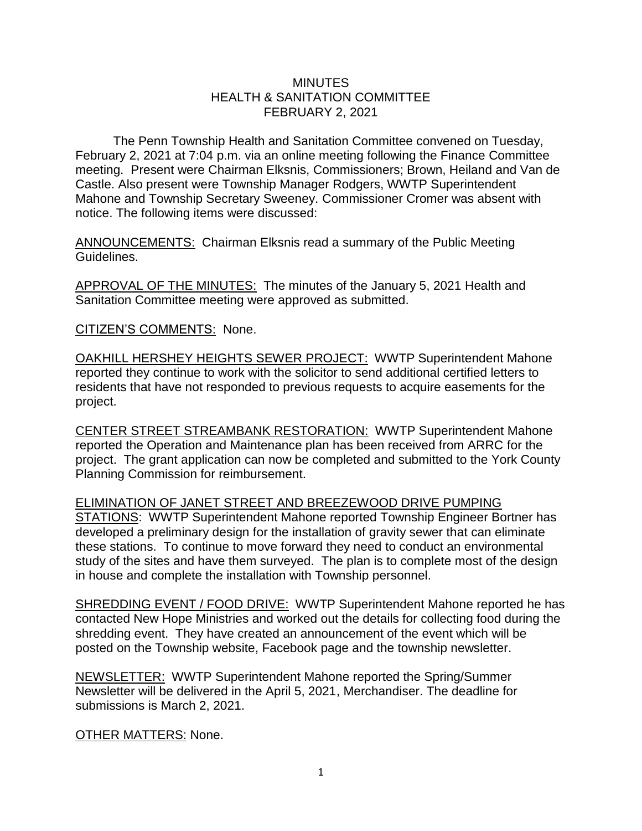## **MINUTES** HEALTH & SANITATION COMMITTEE FEBRUARY 2, 2021

The Penn Township Health and Sanitation Committee convened on Tuesday, February 2, 2021 at 7:04 p.m. via an online meeting following the Finance Committee meeting. Present were Chairman Elksnis, Commissioners; Brown, Heiland and Van de Castle. Also present were Township Manager Rodgers, WWTP Superintendent Mahone and Township Secretary Sweeney. Commissioner Cromer was absent with notice. The following items were discussed:

ANNOUNCEMENTS: Chairman Elksnis read a summary of the Public Meeting Guidelines.

APPROVAL OF THE MINUTES: The minutes of the January 5, 2021 Health and Sanitation Committee meeting were approved as submitted.

CITIZEN'S COMMENTS: None.

OAKHILL HERSHEY HEIGHTS SEWER PROJECT: WWTP Superintendent Mahone reported they continue to work with the solicitor to send additional certified letters to residents that have not responded to previous requests to acquire easements for the project.

CENTER STREET STREAMBANK RESTORATION: WWTP Superintendent Mahone reported the Operation and Maintenance plan has been received from ARRC for the project. The grant application can now be completed and submitted to the York County Planning Commission for reimbursement.

ELIMINATION OF JANET STREET AND BREEZEWOOD DRIVE PUMPING

STATIONS: WWTP Superintendent Mahone reported Township Engineer Bortner has developed a preliminary design for the installation of gravity sewer that can eliminate these stations. To continue to move forward they need to conduct an environmental study of the sites and have them surveyed. The plan is to complete most of the design in house and complete the installation with Township personnel.

SHREDDING EVENT / FOOD DRIVE: WWTP Superintendent Mahone reported he has contacted New Hope Ministries and worked out the details for collecting food during the shredding event. They have created an announcement of the event which will be posted on the Township website, Facebook page and the township newsletter.

NEWSLETTER: WWTP Superintendent Mahone reported the Spring/Summer Newsletter will be delivered in the April 5, 2021, Merchandiser. The deadline for submissions is March 2, 2021.

OTHER MATTERS: None.